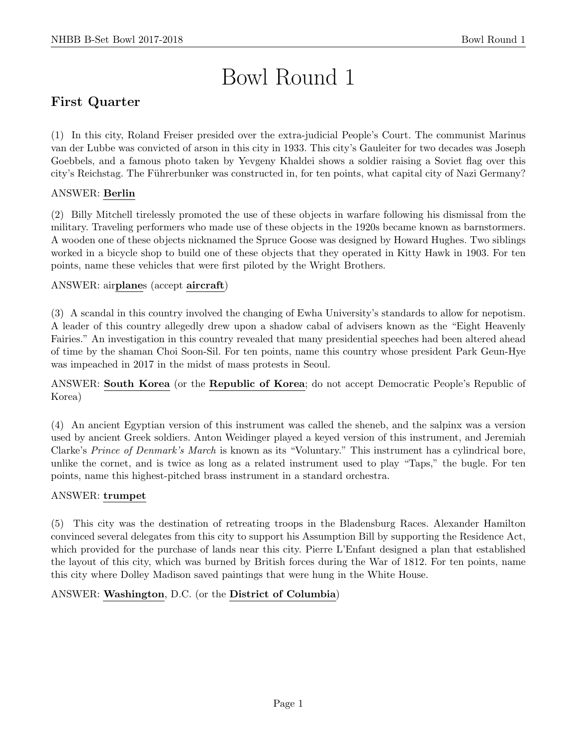# Bowl Round 1

# First Quarter

(1) In this city, Roland Freiser presided over the extra-judicial People's Court. The communist Marinus van der Lubbe was convicted of arson in this city in 1933. This city's Gauleiter for two decades was Joseph Goebbels, and a famous photo taken by Yevgeny Khaldei shows a soldier raising a Soviet flag over this city's Reichstag. The Führerbunker was constructed in, for ten points, what capital city of Nazi Germany?

# ANSWER: Berlin

(2) Billy Mitchell tirelessly promoted the use of these objects in warfare following his dismissal from the military. Traveling performers who made use of these objects in the 1920s became known as barnstormers. A wooden one of these objects nicknamed the Spruce Goose was designed by Howard Hughes. Two siblings worked in a bicycle shop to build one of these objects that they operated in Kitty Hawk in 1903. For ten points, name these vehicles that were first piloted by the Wright Brothers.

# ANSWER: airplanes (accept aircraft)

(3) A scandal in this country involved the changing of Ewha University's standards to allow for nepotism. A leader of this country allegedly drew upon a shadow cabal of advisers known as the "Eight Heavenly Fairies." An investigation in this country revealed that many presidential speeches had been altered ahead of time by the shaman Choi Soon-Sil. For ten points, name this country whose president Park Geun-Hye was impeached in 2017 in the midst of mass protests in Seoul.

ANSWER: South Korea (or the Republic of Korea; do not accept Democratic People's Republic of Korea)

(4) An ancient Egyptian version of this instrument was called the sheneb, and the salpinx was a version used by ancient Greek soldiers. Anton Weidinger played a keyed version of this instrument, and Jeremiah Clarke's Prince of Denmark's March is known as its "Voluntary." This instrument has a cylindrical bore, unlike the cornet, and is twice as long as a related instrument used to play "Taps," the bugle. For ten points, name this highest-pitched brass instrument in a standard orchestra.

## ANSWER: trumpet

(5) This city was the destination of retreating troops in the Bladensburg Races. Alexander Hamilton convinced several delegates from this city to support his Assumption Bill by supporting the Residence Act, which provided for the purchase of lands near this city. Pierre L'Enfant designed a plan that established the layout of this city, which was burned by British forces during the War of 1812. For ten points, name this city where Dolley Madison saved paintings that were hung in the White House.

## ANSWER: Washington, D.C. (or the District of Columbia)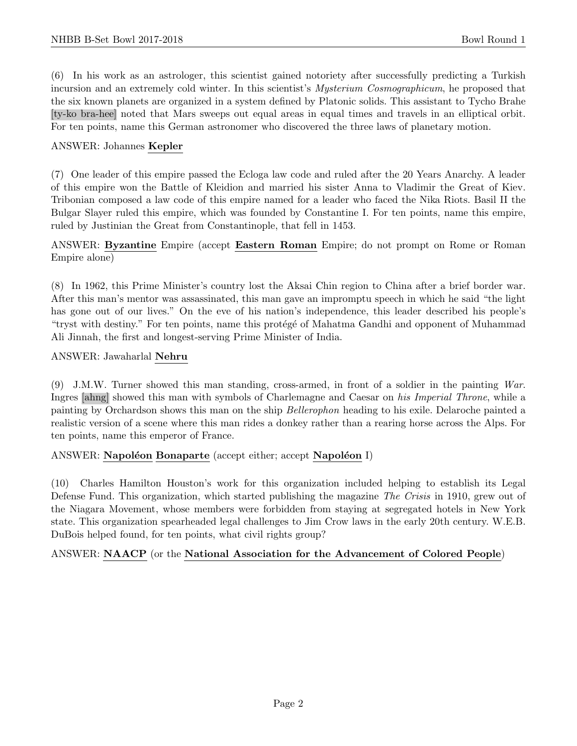(6) In his work as an astrologer, this scientist gained notoriety after successfully predicting a Turkish incursion and an extremely cold winter. In this scientist's *Mysterium Cosmographicum*, he proposed that the six known planets are organized in a system defined by Platonic solids. This assistant to Tycho Brahe [ty-ko bra-hee] noted that Mars sweeps out equal areas in equal times and travels in an elliptical orbit. For ten points, name this German astronomer who discovered the three laws of planetary motion.

#### ANSWER: Johannes Kepler

(7) One leader of this empire passed the Ecloga law code and ruled after the 20 Years Anarchy. A leader of this empire won the Battle of Kleidion and married his sister Anna to Vladimir the Great of Kiev. Tribonian composed a law code of this empire named for a leader who faced the Nika Riots. Basil II the Bulgar Slayer ruled this empire, which was founded by Constantine I. For ten points, name this empire, ruled by Justinian the Great from Constantinople, that fell in 1453.

ANSWER: Byzantine Empire (accept Eastern Roman Empire; do not prompt on Rome or Roman Empire alone)

(8) In 1962, this Prime Minister's country lost the Aksai Chin region to China after a brief border war. After this man's mentor was assassinated, this man gave an impromptu speech in which he said "the light has gone out of our lives." On the eve of his nation's independence, this leader described his people's "tryst with destiny." For ten points, name this protégé of Mahatma Gandhi and opponent of Muhammad Ali Jinnah, the first and longest-serving Prime Minister of India.

#### ANSWER: Jawaharlal Nehru

(9) J.M.W. Turner showed this man standing, cross-armed, in front of a soldier in the painting War. Ingres [ahng] showed this man with symbols of Charlemagne and Caesar on his Imperial Throne, while a painting by Orchardson shows this man on the ship Bellerophon heading to his exile. Delaroche painted a realistic version of a scene where this man rides a donkey rather than a rearing horse across the Alps. For ten points, name this emperor of France.

#### ANSWER: Napoléon Bonaparte (accept either; accept Napoléon I)

(10) Charles Hamilton Houston's work for this organization included helping to establish its Legal Defense Fund. This organization, which started publishing the magazine *The Crisis* in 1910, grew out of the Niagara Movement, whose members were forbidden from staying at segregated hotels in New York state. This organization spearheaded legal challenges to Jim Crow laws in the early 20th century. W.E.B. DuBois helped found, for ten points, what civil rights group?

ANSWER: NAACP (or the National Association for the Advancement of Colored People)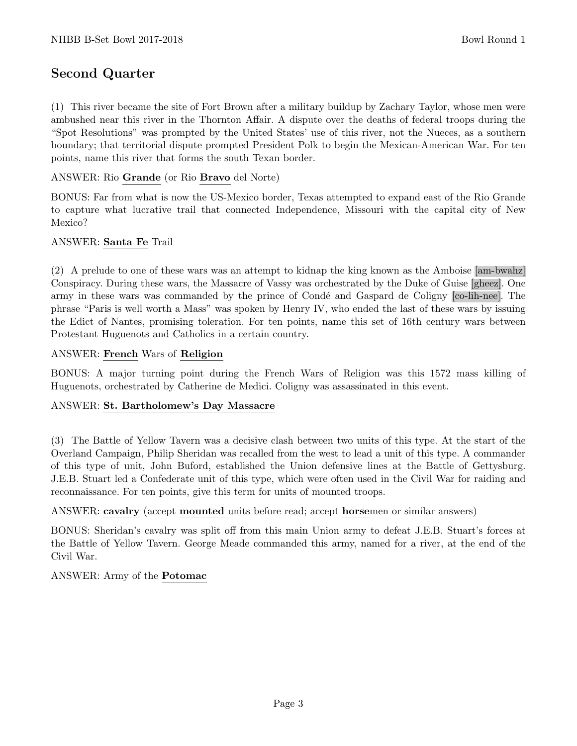# Second Quarter

(1) This river became the site of Fort Brown after a military buildup by Zachary Taylor, whose men were ambushed near this river in the Thornton Affair. A dispute over the deaths of federal troops during the "Spot Resolutions" was prompted by the United States' use of this river, not the Nueces, as a southern boundary; that territorial dispute prompted President Polk to begin the Mexican-American War. For ten points, name this river that forms the south Texan border.

## ANSWER: Rio Grande (or Rio Bravo del Norte)

BONUS: Far from what is now the US-Mexico border, Texas attempted to expand east of the Rio Grande to capture what lucrative trail that connected Independence, Missouri with the capital city of New Mexico?

#### ANSWER: Santa Fe Trail

(2) A prelude to one of these wars was an attempt to kidnap the king known as the Amboise [am-bwahz] Conspiracy. During these wars, the Massacre of Vassy was orchestrated by the Duke of Guise [gheez]. One army in these wars was commanded by the prince of Condé and Gaspard de Coligny [co-lih-nee]. The phrase "Paris is well worth a Mass" was spoken by Henry IV, who ended the last of these wars by issuing the Edict of Nantes, promising toleration. For ten points, name this set of 16th century wars between Protestant Huguenots and Catholics in a certain country.

#### ANSWER: French Wars of Religion

BONUS: A major turning point during the French Wars of Religion was this 1572 mass killing of Huguenots, orchestrated by Catherine de Medici. Coligny was assassinated in this event.

#### ANSWER: St. Bartholomew's Day Massacre

(3) The Battle of Yellow Tavern was a decisive clash between two units of this type. At the start of the Overland Campaign, Philip Sheridan was recalled from the west to lead a unit of this type. A commander of this type of unit, John Buford, established the Union defensive lines at the Battle of Gettysburg. J.E.B. Stuart led a Confederate unit of this type, which were often used in the Civil War for raiding and reconnaissance. For ten points, give this term for units of mounted troops.

## ANSWER: cavalry (accept mounted units before read; accept horsemen or similar answers)

BONUS: Sheridan's cavalry was split off from this main Union army to defeat J.E.B. Stuart's forces at the Battle of Yellow Tavern. George Meade commanded this army, named for a river, at the end of the Civil War.

#### ANSWER: Army of the Potomac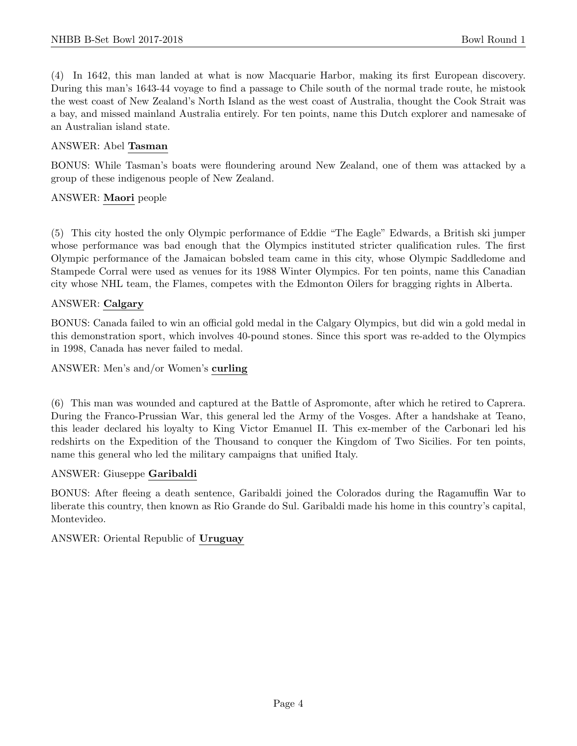(4) In 1642, this man landed at what is now Macquarie Harbor, making its first European discovery. During this man's 1643-44 voyage to find a passage to Chile south of the normal trade route, he mistook the west coast of New Zealand's North Island as the west coast of Australia, thought the Cook Strait was a bay, and missed mainland Australia entirely. For ten points, name this Dutch explorer and namesake of an Australian island state.

#### ANSWER: Abel Tasman

BONUS: While Tasman's boats were floundering around New Zealand, one of them was attacked by a group of these indigenous people of New Zealand.

#### ANSWER: Maori people

(5) This city hosted the only Olympic performance of Eddie "The Eagle" Edwards, a British ski jumper whose performance was bad enough that the Olympics instituted stricter qualification rules. The first Olympic performance of the Jamaican bobsled team came in this city, whose Olympic Saddledome and Stampede Corral were used as venues for its 1988 Winter Olympics. For ten points, name this Canadian city whose NHL team, the Flames, competes with the Edmonton Oilers for bragging rights in Alberta.

#### ANSWER: Calgary

BONUS: Canada failed to win an official gold medal in the Calgary Olympics, but did win a gold medal in this demonstration sport, which involves 40-pound stones. Since this sport was re-added to the Olympics in 1998, Canada has never failed to medal.

#### ANSWER: Men's and/or Women's curling

(6) This man was wounded and captured at the Battle of Aspromonte, after which he retired to Caprera. During the Franco-Prussian War, this general led the Army of the Vosges. After a handshake at Teano, this leader declared his loyalty to King Victor Emanuel II. This ex-member of the Carbonari led his redshirts on the Expedition of the Thousand to conquer the Kingdom of Two Sicilies. For ten points, name this general who led the military campaigns that unified Italy.

#### ANSWER: Giuseppe Garibaldi

BONUS: After fleeing a death sentence, Garibaldi joined the Colorados during the Ragamuffin War to liberate this country, then known as Rio Grande do Sul. Garibaldi made his home in this country's capital, Montevideo.

## ANSWER: Oriental Republic of Uruguay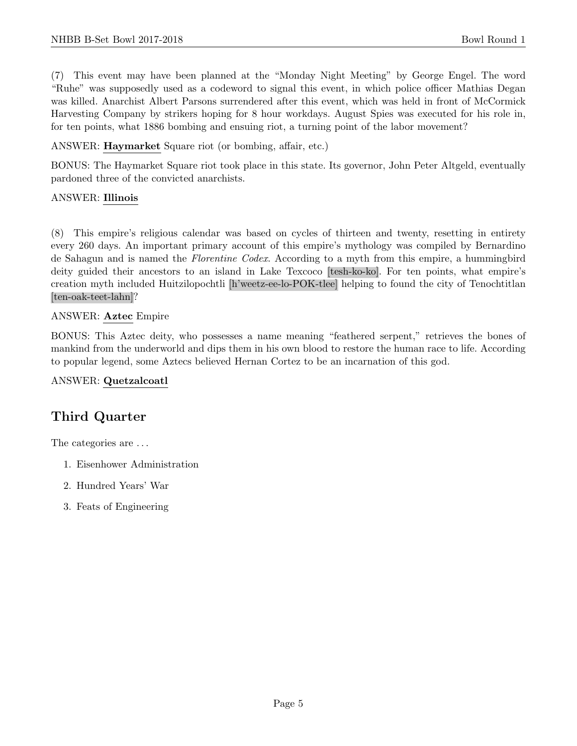(7) This event may have been planned at the "Monday Night Meeting" by George Engel. The word "Ruhe" was supposedly used as a codeword to signal this event, in which police officer Mathias Degan was killed. Anarchist Albert Parsons surrendered after this event, which was held in front of McCormick Harvesting Company by strikers hoping for 8 hour workdays. August Spies was executed for his role in, for ten points, what 1886 bombing and ensuing riot, a turning point of the labor movement?

ANSWER: Haymarket Square riot (or bombing, affair, etc.)

BONUS: The Haymarket Square riot took place in this state. Its governor, John Peter Altgeld, eventually pardoned three of the convicted anarchists.

## ANSWER: Illinois

(8) This empire's religious calendar was based on cycles of thirteen and twenty, resetting in entirety every 260 days. An important primary account of this empire's mythology was compiled by Bernardino de Sahagun and is named the Florentine Codex. According to a myth from this empire, a hummingbird deity guided their ancestors to an island in Lake Texcoco [tesh-ko-ko]. For ten points, what empire's creation myth included Huitzilopochtli [h'weetz-ee-lo-POK-tlee] helping to found the city of Tenochtitlan [ten-oak-teet-lahn]?

## ANSWER: Aztec Empire

BONUS: This Aztec deity, who possesses a name meaning "feathered serpent," retrieves the bones of mankind from the underworld and dips them in his own blood to restore the human race to life. According to popular legend, some Aztecs believed Hernan Cortez to be an incarnation of this god.

## ANSWER: Quetzalcoatl

# Third Quarter

The categories are  $\dots$ 

- 1. Eisenhower Administration
- 2. Hundred Years' War
- 3. Feats of Engineering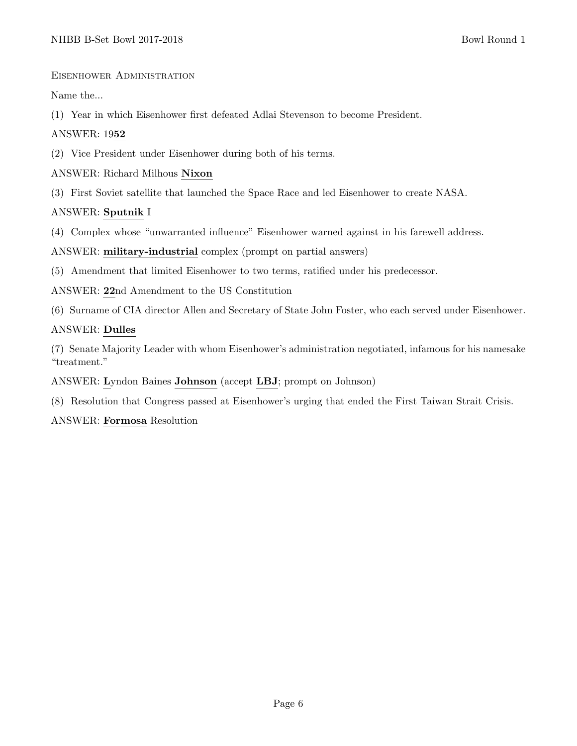Eisenhower Administration

Name the...

(1) Year in which Eisenhower first defeated Adlai Stevenson to become President.

## ANSWER: 1952

(2) Vice President under Eisenhower during both of his terms.

## ANSWER: Richard Milhous Nixon

(3) First Soviet satellite that launched the Space Race and led Eisenhower to create NASA.

## ANSWER: Sputnik I

(4) Complex whose "unwarranted influence" Eisenhower warned against in his farewell address.

ANSWER: military-industrial complex (prompt on partial answers)

(5) Amendment that limited Eisenhower to two terms, ratified under his predecessor.

ANSWER: 22nd Amendment to the US Constitution

(6) Surname of CIA director Allen and Secretary of State John Foster, who each served under Eisenhower.

## ANSWER: Dulles

(7) Senate Majority Leader with whom Eisenhower's administration negotiated, infamous for his namesake "treatment."

ANSWER: Lyndon Baines Johnson (accept LBJ; prompt on Johnson)

(8) Resolution that Congress passed at Eisenhower's urging that ended the First Taiwan Strait Crisis.

ANSWER: Formosa Resolution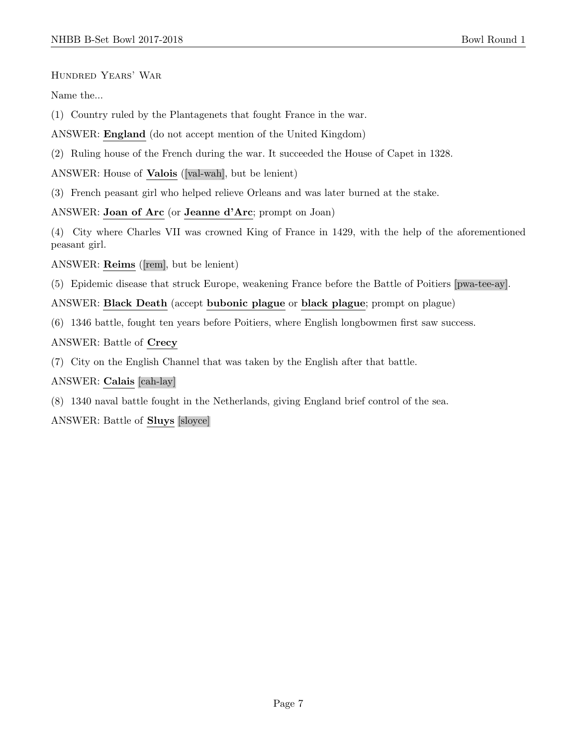Hundred Years' War

Name the...

(1) Country ruled by the Plantagenets that fought France in the war.

ANSWER: England (do not accept mention of the United Kingdom)

(2) Ruling house of the French during the war. It succeeded the House of Capet in 1328.

ANSWER: House of Valois ([val-wah], but be lenient)

(3) French peasant girl who helped relieve Orleans and was later burned at the stake.

ANSWER: Joan of Arc (or Jeanne d'Arc; prompt on Joan)

(4) City where Charles VII was crowned King of France in 1429, with the help of the aforementioned peasant girl.

ANSWER: Reims ([rem], but be lenient)

(5) Epidemic disease that struck Europe, weakening France before the Battle of Poitiers [pwa-tee-ay].

ANSWER: Black Death (accept bubonic plague or black plague; prompt on plague)

(6) 1346 battle, fought ten years before Poitiers, where English longbowmen first saw success.

ANSWER: Battle of Crecy

(7) City on the English Channel that was taken by the English after that battle.

ANSWER: Calais [cah-lay]

(8) 1340 naval battle fought in the Netherlands, giving England brief control of the sea.

ANSWER: Battle of Sluys [sloyce]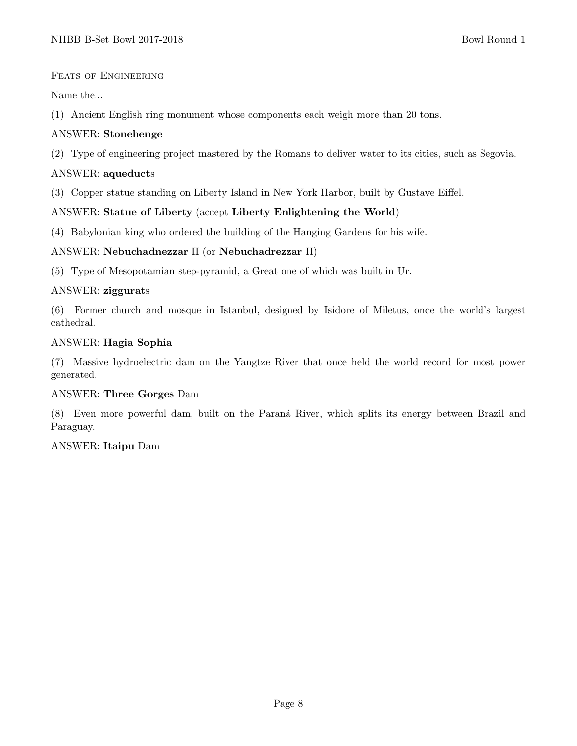## FEATS OF ENGINEERING

Name the...

(1) Ancient English ring monument whose components each weigh more than 20 tons.

# ANSWER: Stonehenge

(2) Type of engineering project mastered by the Romans to deliver water to its cities, such as Segovia.

# ANSWER: aqueducts

(3) Copper statue standing on Liberty Island in New York Harbor, built by Gustave Eiffel.

# ANSWER: Statue of Liberty (accept Liberty Enlightening the World)

(4) Babylonian king who ordered the building of the Hanging Gardens for his wife.

# ANSWER: Nebuchadnezzar II (or Nebuchadrezzar II)

(5) Type of Mesopotamian step-pyramid, a Great one of which was built in Ur.

# ANSWER: ziggurats

(6) Former church and mosque in Istanbul, designed by Isidore of Miletus, once the world's largest cathedral.

## ANSWER: Hagia Sophia

(7) Massive hydroelectric dam on the Yangtze River that once held the world record for most power generated.

## ANSWER: Three Gorges Dam

(8) Even more powerful dam, built on the Paran´a River, which splits its energy between Brazil and Paraguay.

ANSWER: Itaipu Dam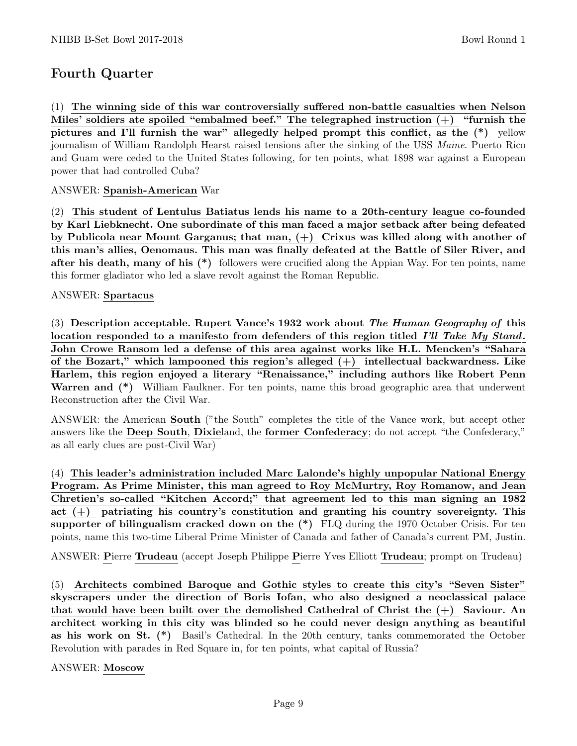# Fourth Quarter

(1) The winning side of this war controversially suffered non-battle casualties when Nelson Miles' soldiers ate spoiled "embalmed beef." The telegraphed instruction  $(+)$  "furnish the pictures and I'll furnish the war" allegedly helped prompt this conflict, as the (\*) yellow journalism of William Randolph Hearst raised tensions after the sinking of the USS Maine. Puerto Rico and Guam were ceded to the United States following, for ten points, what 1898 war against a European power that had controlled Cuba?

## ANSWER: Spanish-American War

(2) This student of Lentulus Batiatus lends his name to a 20th-century league co-founded by Karl Liebknecht. One subordinate of this man faced a major setback after being defeated by Publicola near Mount Garganus; that man, (+) Crixus was killed along with another of this man's allies, Oenomaus. This man was finally defeated at the Battle of Siler River, and after his death, many of his  $(*)$  followers were crucified along the Appian Way. For ten points, name this former gladiator who led a slave revolt against the Roman Republic.

#### ANSWER: Spartacus

(3) Description acceptable. Rupert Vance's 1932 work about The Human Geography of this location responded to a manifesto from defenders of this region titled I'll Take My Stand. John Crowe Ransom led a defense of this area against works like H.L. Mencken's "Sahara of the Bozart," which lampooned this region's alleged (+) intellectual backwardness. Like Harlem, this region enjoyed a literary "Renaissance," including authors like Robert Penn Warren and (\*) William Faulkner. For ten points, name this broad geographic area that underwent Reconstruction after the Civil War.

ANSWER: the American South ("the South" completes the title of the Vance work, but accept other answers like the Deep South, Dixieland, the former Confederacy; do not accept "the Confederacy," as all early clues are post-Civil War)

(4) This leader's administration included Marc Lalonde's highly unpopular National Energy Program. As Prime Minister, this man agreed to Roy McMurtry, Roy Romanow, and Jean Chretien's so-called "Kitchen Accord;" that agreement led to this man signing an 1982 act  $(+)$  patriating his country's constitution and granting his country sovereignty. This supporter of bilingualism cracked down on the  $(*)$  FLQ during the 1970 October Crisis. For ten points, name this two-time Liberal Prime Minister of Canada and father of Canada's current PM, Justin.

ANSWER: Pierre Trudeau (accept Joseph Philippe Pierre Yves Elliott Trudeau; prompt on Trudeau)

(5) Architects combined Baroque and Gothic styles to create this city's "Seven Sister" skyscrapers under the direction of Boris Iofan, who also designed a neoclassical palace that would have been built over the demolished Cathedral of Christ the (+) Saviour. An architect working in this city was blinded so he could never design anything as beautiful as his work on St. (\*) Basil's Cathedral. In the 20th century, tanks commemorated the October Revolution with parades in Red Square in, for ten points, what capital of Russia?

ANSWER: Moscow